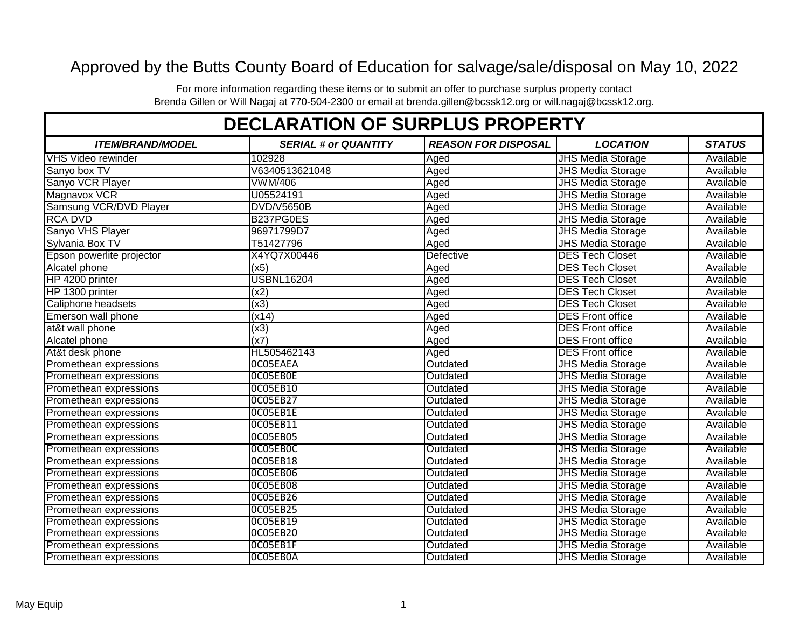## Approved by the Butts County Board of Education for salvage/sale/disposal on May 10, 2022

For more information regarding these items or to submit an offer to purchase surplus property contact Brenda Gillen or Will Nagaj at 770-504-2300 or email at brenda.gillen@bcssk12.org or will.nagaj@bcssk12.org.

| <b>DECLARATION OF SURPLUS PROPERTY</b> |                             |                            |                          |               |  |
|----------------------------------------|-----------------------------|----------------------------|--------------------------|---------------|--|
| <b>ITEM/BRAND/MODEL</b>                | <b>SERIAL # or QUANTITY</b> | <b>REASON FOR DISPOSAL</b> | <b>LOCATION</b>          | <b>STATUS</b> |  |
| <b>VHS Video rewinder</b>              | 102928                      | Aged                       | <b>JHS Media Storage</b> | Available     |  |
| Sanyo box TV                           | V6340513621048              | Aged                       | <b>JHS Media Storage</b> | Available     |  |
| Sanyo VCR Player                       | <b>VWM/406</b>              | Aged                       | <b>JHS Media Storage</b> | Available     |  |
| Magnavox VCR                           | U05524191                   | Aged                       | <b>JHS Media Storage</b> | Available     |  |
| Samsung VCR/DVD Player                 | <b>DVD/V5650B</b>           | Aged                       | <b>JHS Media Storage</b> | Available     |  |
| <b>RCA DVD</b>                         | B237PG0ES                   | Aged                       | <b>JHS Media Storage</b> | Available     |  |
| Sanyo VHS Player                       | 96971799D7                  | Aged                       | <b>JHS Media Storage</b> | Available     |  |
| Sylvania Box TV                        | T51427796                   | Aged                       | <b>JHS Media Storage</b> | Available     |  |
| Epson powerlite projector              | X4YQ7X00446                 | Defective                  | <b>DES Tech Closet</b>   | Available     |  |
| Alcatel phone                          | (x5)                        | Aged                       | <b>DES Tech Closet</b>   | Available     |  |
| HP 4200 printer                        | <b>USBNL16204</b>           | Aged                       | <b>DES Tech Closet</b>   | Available     |  |
| HP 1300 printer                        | (x2)                        | Aged                       | <b>DES Tech Closet</b>   | Available     |  |
| Caliphone headsets                     | $\overline{(x3)}$           | Aged                       | <b>DES Tech Closet</b>   | Available     |  |
| Emerson wall phone                     | (x14)                       | Aged                       | <b>DES Front office</b>  | Available     |  |
| at&t wall phone                        | (x3)                        | Aged                       | <b>DES Front office</b>  | Available     |  |
| Alcatel phone                          | (x7)                        | Aged                       | <b>DES Front office</b>  | Available     |  |
| At&t desk phone                        | HL505462143                 | Aged                       | <b>DES Front office</b>  | Available     |  |
| Promethean expressions                 | OCO5EAEA                    | Outdated                   | <b>JHS Media Storage</b> | Available     |  |
| Promethean expressions                 | OCO5EBOE                    | Outdated                   | <b>JHS Media Storage</b> | Available     |  |
| Promethean expressions                 | <b>OCO5EB10</b>             | Outdated                   | <b>JHS Media Storage</b> | Available     |  |
| Promethean expressions                 | OC05EB27                    | Outdated                   | <b>JHS Media Storage</b> | Available     |  |
| Promethean expressions                 | OCO5EB1E                    | Outdated                   | <b>JHS Media Storage</b> | Available     |  |
| Promethean expressions                 | OC05EB11                    | Outdated                   | <b>JHS Media Storage</b> | Available     |  |
| Promethean expressions                 | <b>OCO5EB05</b>             | Outdated                   | <b>JHS Media Storage</b> | Available     |  |
| Promethean expressions                 | OCO5EBOC                    | Outdated                   | <b>JHS Media Storage</b> | Available     |  |
| Promethean expressions                 | OCO5EB18                    | Outdated                   | <b>JHS Media Storage</b> | Available     |  |
| Promethean expressions                 | OCO5EB06                    | Outdated                   | <b>JHS Media Storage</b> | Available     |  |
| Promethean expressions                 | OCO5EB08                    | Outdated                   | <b>JHS Media Storage</b> | Available     |  |
| Promethean expressions                 | OCO5EB26                    | Outdated                   | <b>JHS Media Storage</b> | Available     |  |
| Promethean expressions                 | <b>OCO5EB25</b>             | Outdated                   | <b>JHS Media Storage</b> | Available     |  |
| Promethean expressions                 | <b>OCO5EB19</b>             | Outdated                   | <b>JHS Media Storage</b> | Available     |  |
| Promethean expressions                 | <b>OCO5EB20</b>             | Outdated                   | <b>JHS Media Storage</b> | Available     |  |
| Promethean expressions                 | OCO5EB1F                    | Outdated                   | <b>JHS Media Storage</b> | Available     |  |
| Promethean expressions                 | OCO5EBOA                    | Outdated                   | <b>JHS Media Storage</b> | Available     |  |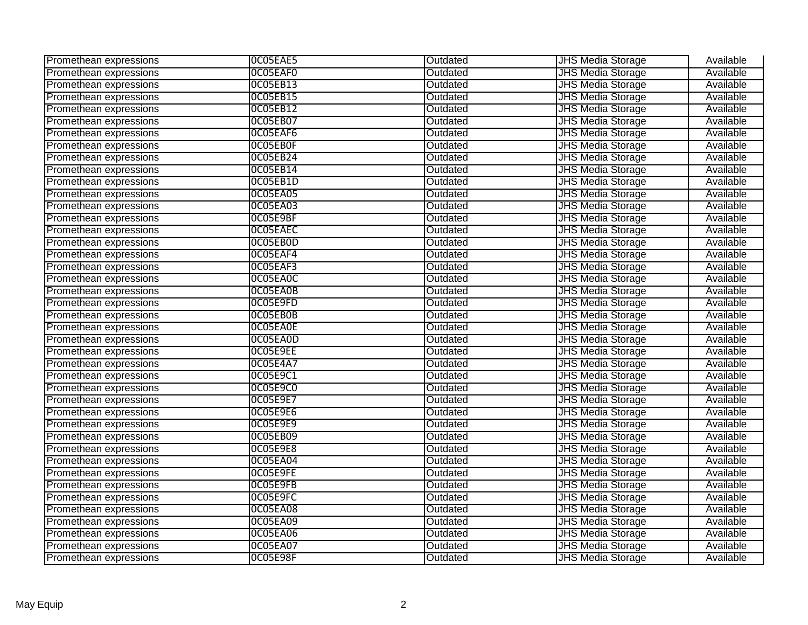| Promethean expressions | OCO5EAE5        | Outdated | <b>JHS Media Storage</b> | Available |
|------------------------|-----------------|----------|--------------------------|-----------|
| Promethean expressions | OCO5EAFO        | Outdated | <b>JHS Media Storage</b> | Available |
| Promethean expressions | <b>OCO5EB13</b> | Outdated | <b>JHS Media Storage</b> | Available |
| Promethean expressions | <b>OCO5EB15</b> | Outdated | <b>JHS Media Storage</b> | Available |
| Promethean expressions | <b>OCO5EB12</b> | Outdated | <b>JHS Media Storage</b> | Available |
| Promethean expressions | <b>OCO5EB07</b> | Outdated | <b>JHS Media Storage</b> | Available |
| Promethean expressions | OCO5EAF6        | Outdated | <b>JHS Media Storage</b> | Available |
| Promethean expressions | OCO5EBOF        | Outdated | <b>JHS Media Storage</b> | Available |
| Promethean expressions | <b>OCO5EB24</b> | Outdated | <b>JHS Media Storage</b> | Available |
| Promethean expressions | <b>OCO5EB14</b> | Outdated | <b>JHS Media Storage</b> | Available |
| Promethean expressions | OCO5EB1D        | Outdated | <b>JHS Media Storage</b> | Available |
| Promethean expressions | <b>OCO5EA05</b> | Outdated | <b>JHS Media Storage</b> | Available |
| Promethean expressions | <b>OCO5EA03</b> | Outdated | <b>JHS Media Storage</b> | Available |
| Promethean expressions | OCO5E9BF        | Outdated | <b>JHS Media Storage</b> | Available |
| Promethean expressions | OCO5EAEC        | Outdated | <b>JHS Media Storage</b> | Available |
| Promethean expressions | OCO5EBOD        | Outdated | <b>JHS Media Storage</b> | Available |
| Promethean expressions | OCO5EAF4        | Outdated | <b>JHS Media Storage</b> | Available |
| Promethean expressions | OCO5EAF3        | Outdated | <b>JHS Media Storage</b> | Available |
| Promethean expressions | OC05EA0C        | Outdated | <b>JHS Media Storage</b> | Available |
| Promethean expressions | OCO5EA0B        | Outdated | <b>JHS Media Storage</b> | Available |
| Promethean expressions | OCO5E9FD        | Outdated | <b>JHS Media Storage</b> | Available |
| Promethean expressions | OCO5EBOB        | Outdated | <b>JHS Media Storage</b> | Available |
| Promethean expressions | OCO5EA0E        | Outdated | <b>JHS Media Storage</b> | Available |
| Promethean expressions | OCO5EAOD        | Outdated | <b>JHS Media Storage</b> | Available |
| Promethean expressions | OCO5E9EE        | Outdated | <b>JHS Media Storage</b> | Available |
| Promethean expressions | <b>OCO5E4A7</b> | Outdated | <b>JHS Media Storage</b> | Available |
| Promethean expressions | 0C05E9C1        | Outdated | <b>JHS Media Storage</b> | Available |
| Promethean expressions | <b>0C05E9C0</b> | Outdated | <b>JHS Media Storage</b> | Available |
| Promethean expressions | <b>OCO5E9E7</b> | Outdated | <b>JHS Media Storage</b> | Available |
| Promethean expressions | OCO5E9E6        | Outdated | <b>JHS Media Storage</b> | Available |
| Promethean expressions | <b>OCO5E9E9</b> | Outdated | <b>JHS Media Storage</b> | Available |
| Promethean expressions | <b>OCO5EB09</b> | Outdated | <b>JHS Media Storage</b> | Available |
| Promethean expressions | <b>OCO5E9E8</b> | Outdated | <b>JHS Media Storage</b> | Available |
| Promethean expressions | <b>OCO5EA04</b> | Outdated | <b>JHS Media Storage</b> | Available |
| Promethean expressions | OCO5E9FE        | Outdated | <b>JHS Media Storage</b> | Available |
| Promethean expressions | OCO5E9FB        | Outdated | <b>JHS Media Storage</b> | Available |
| Promethean expressions | OCO5E9FC        | Outdated | <b>JHS Media Storage</b> | Available |
| Promethean expressions | OCO5EA08        | Outdated | <b>JHS Media Storage</b> | Available |
| Promethean expressions | <b>OCO5EA09</b> | Outdated | <b>JHS Media Storage</b> | Available |
| Promethean expressions | OCO5EA06        | Outdated | <b>JHS Media Storage</b> | Available |
| Promethean expressions | <b>OCO5EA07</b> | Outdated | <b>JHS Media Storage</b> | Available |
| Promethean expressions | OCO5E98F        | Outdated | <b>JHS Media Storage</b> | Available |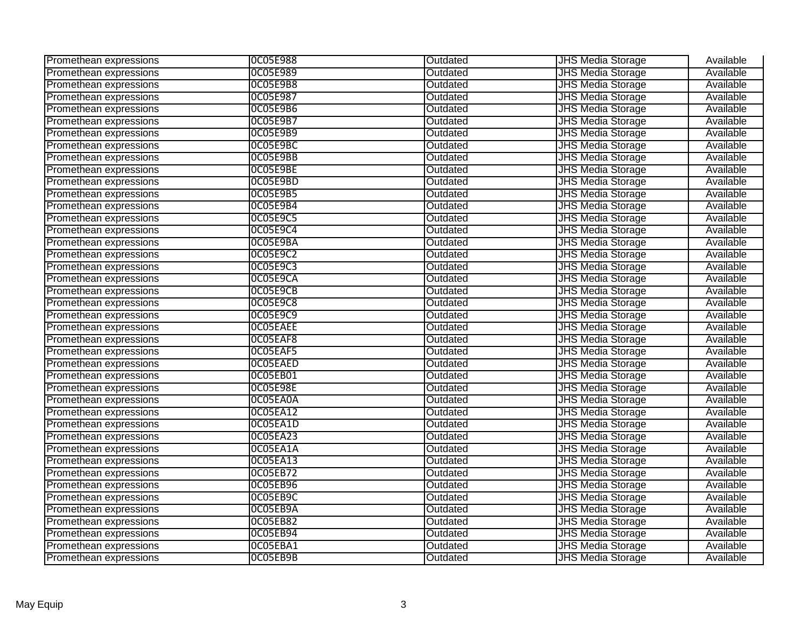| Promethean expressions | <b>OCO5E988</b> | Outdated | <b>JHS Media Storage</b> | Available |
|------------------------|-----------------|----------|--------------------------|-----------|
| Promethean expressions | OC05E989        | Outdated | <b>JHS Media Storage</b> | Available |
| Promethean expressions | OCO5E9B8        | Outdated | <b>JHS Media Storage</b> | Available |
| Promethean expressions | <b>OCO5E987</b> | Outdated | <b>JHS Media Storage</b> | Available |
| Promethean expressions | OCO5E9B6        | Outdated | <b>JHS Media Storage</b> | Available |
| Promethean expressions | <b>OCO5E9B7</b> | Outdated | <b>JHS Media Storage</b> | Available |
| Promethean expressions | <b>OCO5E9B9</b> | Outdated | <b>JHS Media Storage</b> | Available |
| Promethean expressions | OCO5E9BC        | Outdated | <b>JHS Media Storage</b> | Available |
| Promethean expressions | OCO5E9BB        | Outdated | <b>JHS Media Storage</b> | Available |
| Promethean expressions | OCO5E9BE        | Outdated | <b>JHS Media Storage</b> | Available |
| Promethean expressions | OCO5E9BD        | Outdated | <b>JHS Media Storage</b> | Available |
| Promethean expressions | <b>OCO5E9B5</b> | Outdated | <b>JHS Media Storage</b> | Available |
| Promethean expressions | <b>OCO5E9B4</b> | Outdated | <b>JHS Media Storage</b> | Available |
| Promethean expressions | <b>OCO5E9C5</b> | Outdated | <b>JHS Media Storage</b> | Available |
| Promethean expressions | 0C05E9C4        | Outdated | <b>JHS Media Storage</b> | Available |
| Promethean expressions | OCO5E9BA        | Outdated | <b>JHS Media Storage</b> | Available |
| Promethean expressions | <b>OCO5E9C2</b> | Outdated | <b>JHS Media Storage</b> | Available |
| Promethean expressions | <b>OCO5E9C3</b> | Outdated | <b>JHS Media Storage</b> | Available |
| Promethean expressions | OCO5E9CA        | Outdated | <b>JHS Media Storage</b> | Available |
| Promethean expressions | OCO5E9CB        | Outdated | <b>JHS Media Storage</b> | Available |
| Promethean expressions | <b>OCO5E9C8</b> | Outdated | <b>JHS Media Storage</b> | Available |
| Promethean expressions | 0C05E9C9        | Outdated | <b>JHS Media Storage</b> | Available |
| Promethean expressions | OCO5EAEE        | Outdated | <b>JHS Media Storage</b> | Available |
| Promethean expressions | OCO5EAF8        | Outdated | <b>JHS Media Storage</b> | Available |
| Promethean expressions | OCO5EAF5        | Outdated | <b>JHS Media Storage</b> | Available |
| Promethean expressions | OCO5EAED        | Outdated | <b>JHS Media Storage</b> | Available |
| Promethean expressions | OCO5EB01        | Outdated | <b>JHS Media Storage</b> | Available |
| Promethean expressions | <b>OCO5E98E</b> | Outdated | <b>JHS Media Storage</b> | Available |
| Promethean expressions | OCO5EA0A        | Outdated | <b>JHS Media Storage</b> | Available |
| Promethean expressions | 0C05EA12        | Outdated | <b>JHS Media Storage</b> | Available |
| Promethean expressions | OCO5EA1D        | Outdated | <b>JHS Media Storage</b> | Available |
| Promethean expressions | <b>OCO5EA23</b> | Outdated | <b>JHS Media Storage</b> | Available |
| Promethean expressions | OCO5EA1A        | Outdated | <b>JHS Media Storage</b> | Available |
| Promethean expressions | 0C05EA13        | Outdated | <b>JHS Media Storage</b> | Available |
| Promethean expressions | <b>OCO5EB72</b> | Outdated | <b>JHS Media Storage</b> | Available |
| Promethean expressions | OCO5EB96        | Outdated | <b>JHS Media Storage</b> | Available |
| Promethean expressions | OCO5EB9C        | Outdated | <b>JHS Media Storage</b> | Available |
| Promethean expressions | OCO5EB9A        | Outdated | <b>JHS Media Storage</b> | Available |
| Promethean expressions | <b>OCO5EB82</b> | Outdated | <b>JHS Media Storage</b> | Available |
| Promethean expressions | <b>OCO5EB94</b> | Outdated | <b>JHS Media Storage</b> | Available |
| Promethean expressions | OCO5EBA1        | Outdated | <b>JHS Media Storage</b> | Available |
| Promethean expressions | OCO5EB9B        | Outdated | <b>JHS Media Storage</b> | Available |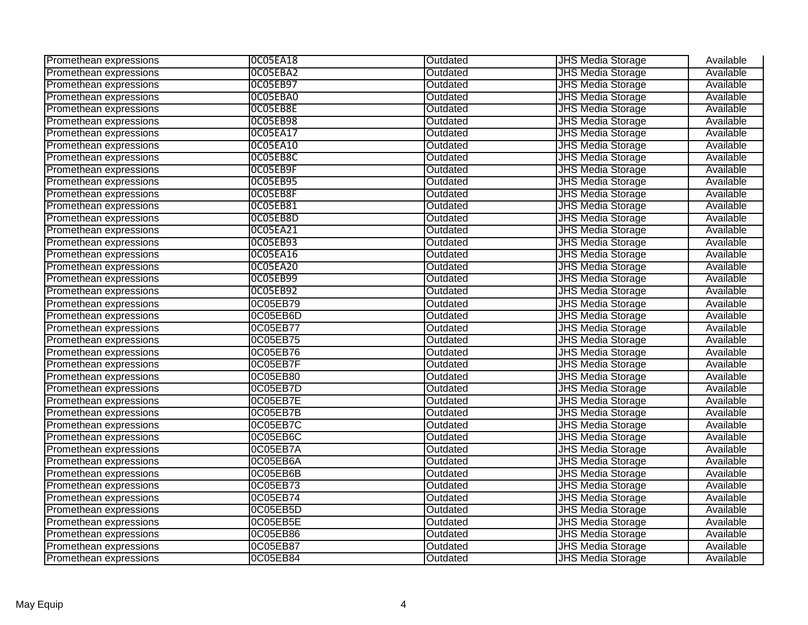| Promethean expressions | OCO5EA18        | Outdated | <b>JHS Media Storage</b> | Available |
|------------------------|-----------------|----------|--------------------------|-----------|
| Promethean expressions | OCO5EBA2        | Outdated | <b>JHS Media Storage</b> | Available |
| Promethean expressions | <b>OCO5EB97</b> | Outdated | <b>JHS Media Storage</b> | Available |
| Promethean expressions | OCO5EBA0        | Outdated | <b>JHS Media Storage</b> | Available |
| Promethean expressions | OCO5EB8E        | Outdated | <b>JHS Media Storage</b> | Available |
| Promethean expressions | <b>OCO5EB98</b> | Outdated | <b>JHS Media Storage</b> | Available |
| Promethean expressions | 0C05EA17        | Outdated | <b>JHS Media Storage</b> | Available |
| Promethean expressions | 0C05EA10        | Outdated | <b>JHS Media Storage</b> | Available |
| Promethean expressions | OCO5EB8C        | Outdated | <b>JHS Media Storage</b> | Available |
| Promethean expressions | OCO5EB9F        | Outdated | <b>JHS Media Storage</b> | Available |
| Promethean expressions | <b>OCO5EB95</b> | Outdated | <b>JHS Media Storage</b> | Available |
| Promethean expressions | OCO5EB8F        | Outdated | <b>JHS Media Storage</b> | Available |
| Promethean expressions | <b>OCO5EB81</b> | Outdated | <b>JHS Media Storage</b> | Available |
| Promethean expressions | OCO5EB8D        | Outdated | <b>JHS Media Storage</b> | Available |
| Promethean expressions | 0C05EA21        | Outdated | <b>JHS Media Storage</b> | Available |
| Promethean expressions | <b>OCO5EB93</b> | Outdated | <b>JHS Media Storage</b> | Available |
| Promethean expressions | 0C05EA16        | Outdated | <b>JHS Media Storage</b> | Available |
| Promethean expressions | <b>OCO5EA20</b> | Outdated | <b>JHS Media Storage</b> | Available |
| Promethean expressions | <b>OCO5EB99</b> | Outdated | <b>JHS Media Storage</b> | Available |
| Promethean expressions | <b>OCO5EB92</b> | Outdated | <b>JHS Media Storage</b> | Available |
| Promethean expressions | 0C05EB79        | Outdated | <b>JHS Media Storage</b> | Available |
| Promethean expressions | 0C05EB6D        | Outdated | <b>JHS Media Storage</b> | Available |
| Promethean expressions | 0C05EB77        | Outdated | <b>JHS Media Storage</b> | Available |
| Promethean expressions | 0C05EB75        | Outdated | <b>JHS Media Storage</b> | Available |
| Promethean expressions | 0C05EB76        | Outdated | <b>JHS Media Storage</b> | Available |
| Promethean expressions | 0C05EB7F        | Outdated | <b>JHS Media Storage</b> | Available |
| Promethean expressions | 0C05EB80        | Outdated | <b>JHS Media Storage</b> | Available |
| Promethean expressions | 0C05EB7D        | Outdated | <b>JHS Media Storage</b> | Available |
| Promethean expressions | 0C05EB7E        | Outdated | <b>JHS Media Storage</b> | Available |
| Promethean expressions | 0C05EB7B        | Outdated | <b>JHS Media Storage</b> | Available |
| Promethean expressions | 0C05EB7C        | Outdated | <b>JHS Media Storage</b> | Available |
| Promethean expressions | 0C05EB6C        | Outdated | <b>JHS Media Storage</b> | Available |
| Promethean expressions | 0C05EB7A        | Outdated | <b>JHS Media Storage</b> | Available |
| Promethean expressions | 0C05EB6A        | Outdated | <b>JHS Media Storage</b> | Available |
| Promethean expressions | 0C05EB6B        | Outdated | <b>JHS Media Storage</b> | Available |
| Promethean expressions | 0C05EB73        | Outdated | <b>JHS Media Storage</b> | Available |
| Promethean expressions | 0C05EB74        | Outdated | <b>JHS Media Storage</b> | Available |
| Promethean expressions | 0C05EB5D        | Outdated | <b>JHS Media Storage</b> | Available |
| Promethean expressions | 0C05EB5E        | Outdated | <b>JHS Media Storage</b> | Available |
| Promethean expressions | 0C05EB86        | Outdated | <b>JHS Media Storage</b> | Available |
| Promethean expressions | 0C05EB87        | Outdated | <b>JHS Media Storage</b> | Available |
| Promethean expressions | 0C05EB84        | Outdated | <b>JHS Media Storage</b> | Available |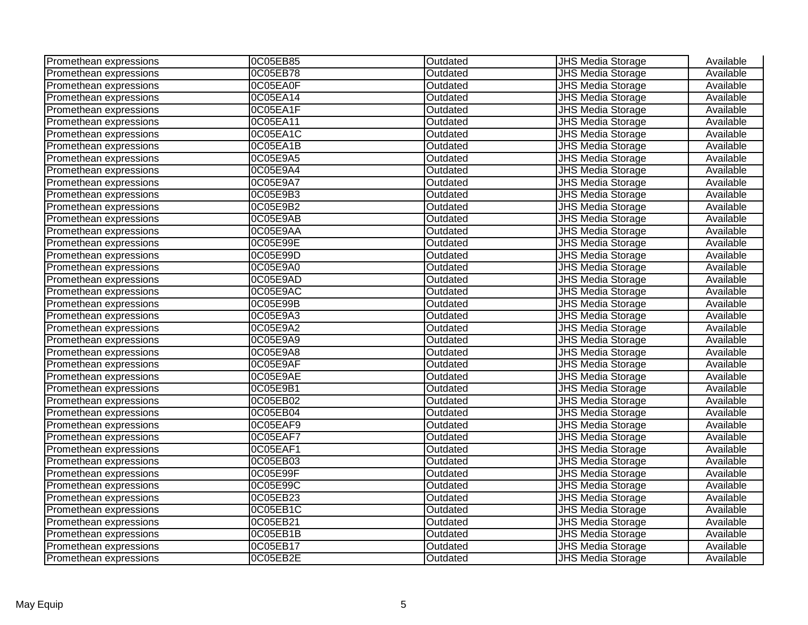| Promethean expressions | 0C05EB85 | Outdated | <b>JHS Media Storage</b> | Available |
|------------------------|----------|----------|--------------------------|-----------|
| Promethean expressions | 0C05EB78 | Outdated | <b>JHS Media Storage</b> | Available |
| Promethean expressions | 0C05EA0F | Outdated | <b>JHS Media Storage</b> | Available |
| Promethean expressions | 0C05EA14 | Outdated | <b>JHS Media Storage</b> | Available |
| Promethean expressions | 0C05EA1F | Outdated | <b>JHS</b> Media Storage | Available |
| Promethean expressions | 0C05EA11 | Outdated | <b>JHS Media Storage</b> | Available |
| Promethean expressions | 0C05EA1C | Outdated | <b>JHS Media Storage</b> | Available |
| Promethean expressions | 0C05EA1B | Outdated | <b>JHS Media Storage</b> | Available |
| Promethean expressions | 0C05E9A5 | Outdated | <b>JHS Media Storage</b> | Available |
| Promethean expressions | 0C05E9A4 | Outdated | <b>JHS Media Storage</b> | Available |
| Promethean expressions | 0C05E9A7 | Outdated | <b>JHS Media Storage</b> | Available |
| Promethean expressions | 0C05E9B3 | Outdated | <b>JHS Media Storage</b> | Available |
| Promethean expressions | 0C05E9B2 | Outdated | <b>JHS Media Storage</b> | Available |
| Promethean expressions | 0C05E9AB | Outdated | <b>JHS Media Storage</b> | Available |
| Promethean expressions | 0C05E9AA | Outdated | <b>JHS Media Storage</b> | Available |
| Promethean expressions | 0C05E99E | Outdated | <b>JHS Media Storage</b> | Available |
| Promethean expressions | 0C05E99D | Outdated | <b>JHS Media Storage</b> | Available |
| Promethean expressions | 0C05E9A0 | Outdated | <b>JHS Media Storage</b> | Available |
| Promethean expressions | 0C05E9AD | Outdated | <b>JHS Media Storage</b> | Available |
| Promethean expressions | 0C05E9AC | Outdated | <b>JHS Media Storage</b> | Available |
| Promethean expressions | 0C05E99B | Outdated | <b>JHS Media Storage</b> | Available |
| Promethean expressions | 0C05E9A3 | Outdated | <b>JHS Media Storage</b> | Available |
| Promethean expressions | 0C05E9A2 | Outdated | <b>JHS Media Storage</b> | Available |
| Promethean expressions | 0C05E9A9 | Outdated | <b>JHS Media Storage</b> | Available |
| Promethean expressions | 0C05E9A8 | Outdated | <b>JHS Media Storage</b> | Available |
| Promethean expressions | 0C05E9AF | Outdated | <b>JHS Media Storage</b> | Available |
| Promethean expressions | 0C05E9AE | Outdated | <b>JHS Media Storage</b> | Available |
| Promethean expressions | 0C05E9B1 | Outdated | <b>JHS Media Storage</b> | Available |
| Promethean expressions | 0C05EB02 | Outdated | <b>JHS Media Storage</b> | Available |
| Promethean expressions | 0C05EB04 | Outdated | <b>JHS Media Storage</b> | Available |
| Promethean expressions | 0C05EAF9 | Outdated | <b>JHS Media Storage</b> | Available |
| Promethean expressions | 0C05EAF7 | Outdated | <b>JHS Media Storage</b> | Available |
| Promethean expressions | 0C05EAF1 | Outdated | <b>JHS Media Storage</b> | Available |
| Promethean expressions | 0C05EB03 | Outdated | <b>JHS Media Storage</b> | Available |
| Promethean expressions | 0C05E99F | Outdated | <b>JHS Media Storage</b> | Available |
| Promethean expressions | 0C05E99C | Outdated | <b>JHS Media Storage</b> | Available |
| Promethean expressions | 0C05EB23 | Outdated | <b>JHS Media Storage</b> | Available |
| Promethean expressions | 0C05EB1C | Outdated | <b>JHS Media Storage</b> | Available |
| Promethean expressions | 0C05EB21 | Outdated | <b>JHS Media Storage</b> | Available |
| Promethean expressions | 0C05EB1B | Outdated | <b>JHS Media Storage</b> | Available |
| Promethean expressions | 0C05EB17 | Outdated | <b>JHS Media Storage</b> | Available |
| Promethean expressions | 0C05EB2E | Outdated | <b>JHS Media Storage</b> | Available |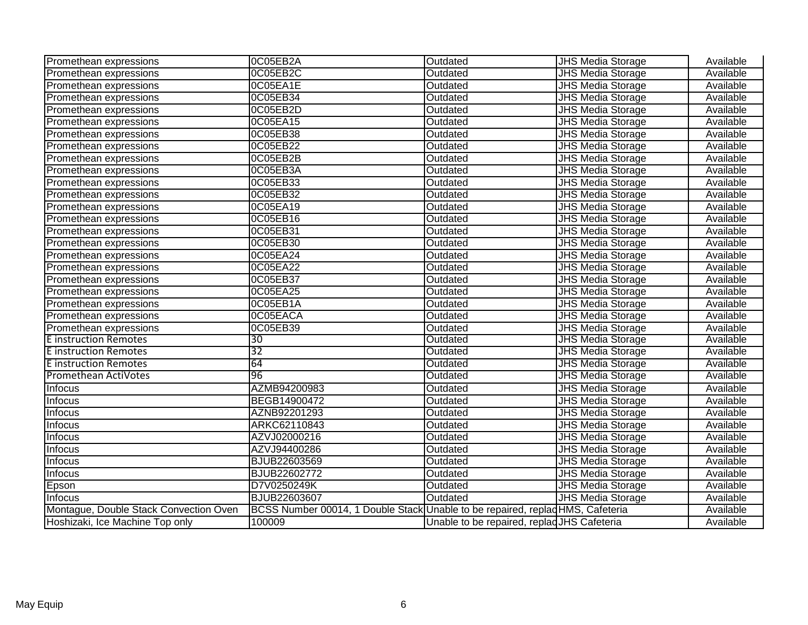| Promethean expressions                 | OC05EB2A                                                                       | Outdated                                    | <b>JHS Media Storage</b> | Available |
|----------------------------------------|--------------------------------------------------------------------------------|---------------------------------------------|--------------------------|-----------|
| Promethean expressions                 | 0C05EB2C                                                                       | Outdated                                    | <b>JHS Media Storage</b> | Available |
| Promethean expressions                 | 0C05EA1E                                                                       | Outdated                                    | <b>JHS Media Storage</b> | Available |
| Promethean expressions                 | 0C05EB34                                                                       | Outdated                                    | <b>JHS Media Storage</b> | Available |
| Promethean expressions                 | 0C05EB2D                                                                       | Outdated                                    | <b>JHS Media Storage</b> | Available |
| Promethean expressions                 | 0C05EA15                                                                       | Outdated                                    | <b>JHS Media Storage</b> | Available |
| Promethean expressions                 | 0C05EB38                                                                       | Outdated                                    | <b>JHS Media Storage</b> | Available |
| Promethean expressions                 | 0C05EB22                                                                       | Outdated                                    | <b>JHS Media Storage</b> | Available |
| Promethean expressions                 | 0C05EB2B                                                                       | Outdated                                    | <b>JHS Media Storage</b> | Available |
| Promethean expressions                 | 0C05EB3A                                                                       | Outdated                                    | <b>JHS Media Storage</b> | Available |
| Promethean expressions                 | 0C05EB33                                                                       | Outdated                                    | <b>JHS Media Storage</b> | Available |
| Promethean expressions                 | 0C05EB32                                                                       | Outdated                                    | <b>JHS Media Storage</b> | Available |
| Promethean expressions                 | 0C05EA19                                                                       | Outdated                                    | <b>JHS Media Storage</b> | Available |
| Promethean expressions                 | 0C05EB16                                                                       | Outdated                                    | <b>JHS Media Storage</b> | Available |
| Promethean expressions                 | 0C05EB31                                                                       | Outdated                                    | <b>JHS Media Storage</b> | Available |
| Promethean expressions                 | 0C05EB30                                                                       | Outdated                                    | <b>JHS Media Storage</b> | Available |
| Promethean expressions                 | 0C05EA24                                                                       | Outdated                                    | <b>JHS Media Storage</b> | Available |
| Promethean expressions                 | 0C05EA22                                                                       | Outdated                                    | <b>JHS Media Storage</b> | Available |
| Promethean expressions                 | 0C05EB37                                                                       | Outdated                                    | <b>JHS Media Storage</b> | Available |
| Promethean expressions                 | 0C05EA25                                                                       | Outdated                                    | <b>JHS Media Storage</b> | Available |
| Promethean expressions                 | 0C05EB1A                                                                       | Outdated                                    | <b>JHS Media Storage</b> | Available |
| Promethean expressions                 | 0C05EACA                                                                       | Outdated                                    | <b>JHS Media Storage</b> | Available |
| Promethean expressions                 | 0C05EB39                                                                       | Outdated                                    | <b>JHS Media Storage</b> | Available |
| <b>E</b> instruction Remotes           | 30                                                                             | Outdated                                    | <b>JHS Media Storage</b> | Available |
| <b>E</b> instruction Remotes           | 32                                                                             | Outdated                                    | <b>JHS Media Storage</b> | Available |
| <b>E</b> instruction Remotes           | 64                                                                             | Outdated                                    | <b>JHS Media Storage</b> | Available |
| <b>Promethean ActiVotes</b>            | 96                                                                             | Outdated                                    | <b>JHS Media Storage</b> | Available |
| <b>Infocus</b>                         | AZMB94200983                                                                   | Outdated                                    | <b>JHS Media Storage</b> | Available |
| <b>Infocus</b>                         | BEGB14900472                                                                   | Outdated                                    | <b>JHS Media Storage</b> | Available |
| Infocus                                | AZNB92201293                                                                   | Outdated                                    | <b>JHS Media Storage</b> | Available |
| Infocus                                | ARKC62110843                                                                   | Outdated                                    | <b>JHS Media Storage</b> | Available |
| <b>Infocus</b>                         | AZVJ02000216                                                                   | Outdated                                    | <b>JHS Media Storage</b> | Available |
| Infocus                                | AZVJ94400286                                                                   | Outdated                                    | <b>JHS Media Storage</b> | Available |
| Infocus                                | BJUB22603569                                                                   | Outdated                                    | <b>JHS Media Storage</b> | Available |
| Infocus                                | BJUB22602772                                                                   | Outdated                                    | <b>JHS Media Storage</b> | Available |
| Epson                                  | D7V0250249K                                                                    | Outdated                                    | <b>JHS Media Storage</b> | Available |
| Infocus                                | <b>BJUB22603607</b>                                                            | Outdated                                    | <b>JHS Media Storage</b> | Available |
| Montague, Double Stack Convection Oven | BCSS Number 00014, 1 Double Stack Unable to be repaired, replad HMS, Cafeteria |                                             |                          | Available |
| Hoshizaki, Ice Machine Top only        | 100009                                                                         | Unable to be repaired, replad JHS Cafeteria |                          | Available |